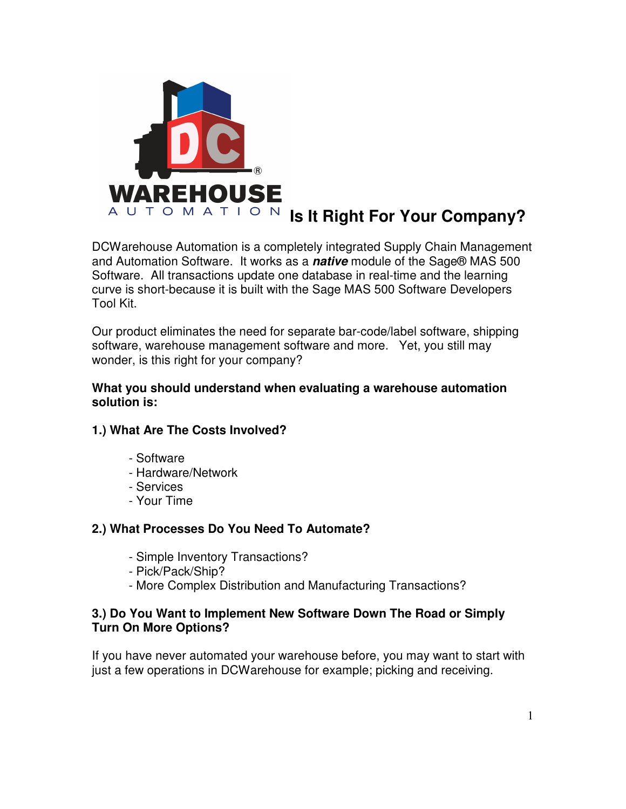

DCWarehouse Automation is a completely integrated Supply Chain Management and Automation Software. It works as a **native** module of the Sage® MAS 500 Software. All transactions update one database in real-time and the learning curve is short-because it is built with the Sage MAS 500 Software Developers Tool Kit.

Our product eliminates the need for separate bar-code/label software, shipping software, warehouse management software and more. Yet, you still may wonder, is this right for your company?

#### **What you should understand when evaluating a warehouse automation solution is:**

## **1.) What Are The Costs Involved?**

- Software
- Hardware/Network
- Services
- Your Time

#### **2.) What Processes Do You Need To Automate?**

- Simple Inventory Transactions?
- Pick/Pack/Ship?
- More Complex Distribution and Manufacturing Transactions?

### **3.) Do You Want to Implement New Software Down The Road or Simply Turn On More Options?**

If you have never automated your warehouse before, you may want to start with just a few operations in DCWarehouse for example; picking and receiving.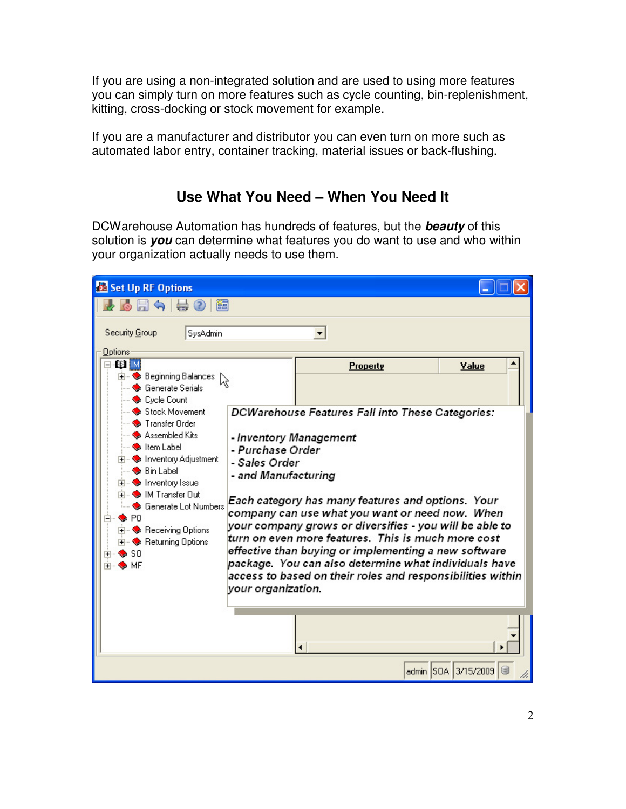If you are using a non-integrated solution and are used to using more features you can simply turn on more features such as cycle counting, bin-replenishment, kitting, cross-docking or stock movement for example.

If you are a manufacturer and distributor you can even turn on more such as automated labor entry, container tracking, material issues or back-flushing.

# **Use What You Need – When You Need It**

DCWarehouse Automation has hundreds of features, but the **beauty** of this solution is **you** can determine what features you do want to use and who within your organization actually needs to use them.